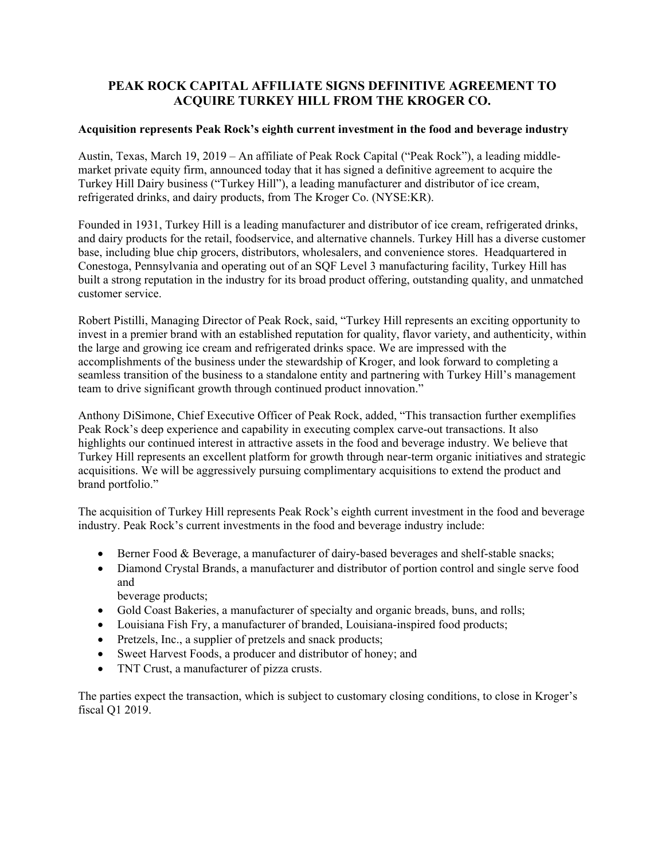## **PEAK ROCK CAPITAL AFFILIATE SIGNS DEFINITIVE AGREEMENT TO ACQUIRE TURKEY HILL FROM THE KROGER CO.**

## **Acquisition represents Peak Rock's eighth current investment in the food and beverage industry**

Austin, Texas, March 19, 2019 – An affiliate of Peak Rock Capital ("Peak Rock"), a leading middlemarket private equity firm, announced today that it has signed a definitive agreement to acquire the Turkey Hill Dairy business ("Turkey Hill"), a leading manufacturer and distributor of ice cream, refrigerated drinks, and dairy products, from The Kroger Co. (NYSE:KR).

Founded in 1931, Turkey Hill is a leading manufacturer and distributor of ice cream, refrigerated drinks, and dairy products for the retail, foodservice, and alternative channels. Turkey Hill has a diverse customer base, including blue chip grocers, distributors, wholesalers, and convenience stores. Headquartered in Conestoga, Pennsylvania and operating out of an SQF Level 3 manufacturing facility, Turkey Hill has built a strong reputation in the industry for its broad product offering, outstanding quality, and unmatched customer service.

Robert Pistilli, Managing Director of Peak Rock, said, "Turkey Hill represents an exciting opportunity to invest in a premier brand with an established reputation for quality, flavor variety, and authenticity, within the large and growing ice cream and refrigerated drinks space. We are impressed with the accomplishments of the business under the stewardship of Kroger, and look forward to completing a seamless transition of the business to a standalone entity and partnering with Turkey Hill's management team to drive significant growth through continued product innovation."

Anthony DiSimone, Chief Executive Officer of Peak Rock, added, "This transaction further exemplifies Peak Rock's deep experience and capability in executing complex carve-out transactions. It also highlights our continued interest in attractive assets in the food and beverage industry. We believe that Turkey Hill represents an excellent platform for growth through near-term organic initiatives and strategic acquisitions. We will be aggressively pursuing complimentary acquisitions to extend the product and brand portfolio."

The acquisition of Turkey Hill represents Peak Rock's eighth current investment in the food and beverage industry. Peak Rock's current investments in the food and beverage industry include:

- Berner Food & Beverage, a manufacturer of dairy-based beverages and shelf-stable snacks;
- Diamond Crystal Brands, a manufacturer and distributor of portion control and single serve food and

beverage products;

- Gold Coast Bakeries, a manufacturer of specialty and organic breads, buns, and rolls;
- Louisiana Fish Fry, a manufacturer of branded, Louisiana-inspired food products;
- Pretzels, Inc., a supplier of pretzels and snack products;
- Sweet Harvest Foods, a producer and distributor of honey; and
- TNT Crust, a manufacturer of pizza crusts.

The parties expect the transaction, which is subject to customary closing conditions, to close in Kroger's fiscal Q1 2019.